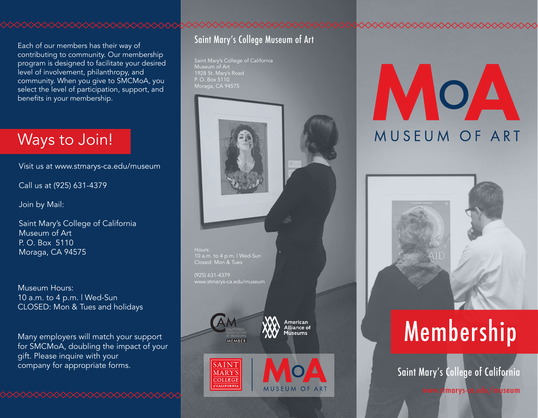Each of our members has their way of contributing to community. Our membership program is designed to facilitate your desired level of involvement, philanthropy, and community. When you give to SMCMoA, you select the level of participation, support, and benefits in your membership.

### Ways to Join!

Visit us at www.stmarys-ca.edu/museum

Call us at (925) 631-4379

Join by Mail:

Saint Mary's College of California Museum of Art P. O. Box 5110 Moraga, CA 94575

Museum Hours: 10 a.m. to 4 p.m. | Wed-Sun CLOSED: Mon & Tues and holidays

Many employers will match your support for SMCMoA, doubling the impact of your gift. Please inquire with your company for appropriate forms.

### Saint Mary's College Museum of Art

Saint Mary's College of California 1928 St. Mary's Road P. O. Box 5110



# MOA MUSEUM OF ART



### Membership

Saint Mary's College of California

www.stmarys-ca.edu/museum